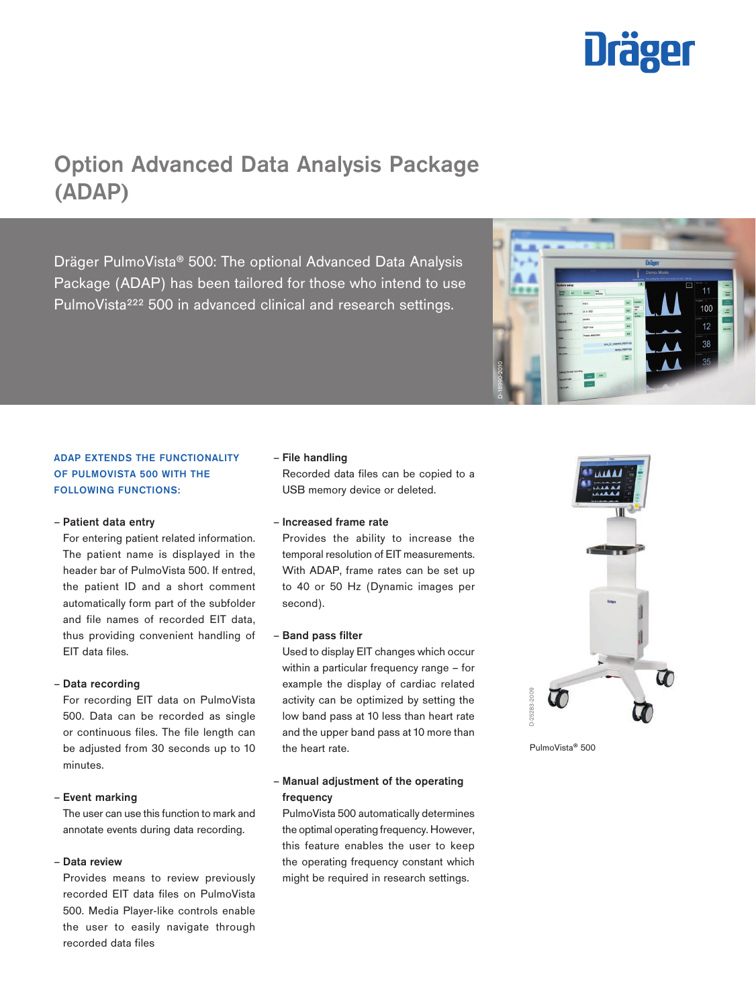

# Option Advanced Data Analysis Package (ADAP)

Dräger PulmoVista® 500: The optional Advanced Data Analysis Package (ADAP) has been tailored for those who intend to use PulmoVista<sup>222</sup> 500 in advanced clinical and research settings.

# ADAP EXTENDS THE FUNCTIONALITY OF PULMOVISTA 500 WITH THE FOLLOWING FUNCTIONS:

### – Patient data entry

For entering patient related information. The patient name is displayed in the header bar of PulmoVista 500. If entred, the patient ID and a short comment automatically form part of the subfolder and file names of recorded EIT data, thus providing convenient handling of EIT data files.

# – Data recording

For recording EIT data on PulmoVista 500. Data can be recorded as single or continuous files. The file length can be adjusted from 30 seconds up to 10 minutes.

# – Event marking

The user can use this function to mark and annotate events during data recording.

## – Data review

Provides means to review previously recorded EIT data files on PulmoVista 500. Media Player-like controls enable the user to easily navigate through recorded data files

## – File handling

Recorded data files can be copied to a USB memory device or deleted.

# – Increased frame rate

Provides the ability to increase the temporal resolution of EIT measurements. With ADAP, frame rates can be set up to 40 or 50 Hz (Dynamic images per second).

### – Band pass filter

Used to display EIT changes which occur within a particular frequency range – for example the display of cardiac related activity can be optimized by setting the low band pass at 10 less than heart rate and the upper band pass at 10 more than the heart rate.

# – Manual adjustment of the operating frequency

PulmoVista 500 automatically determines the optimal operating frequency. However, this feature enables the user to keep the operating frequency constant which might be required in research settings.



D-18990-2010